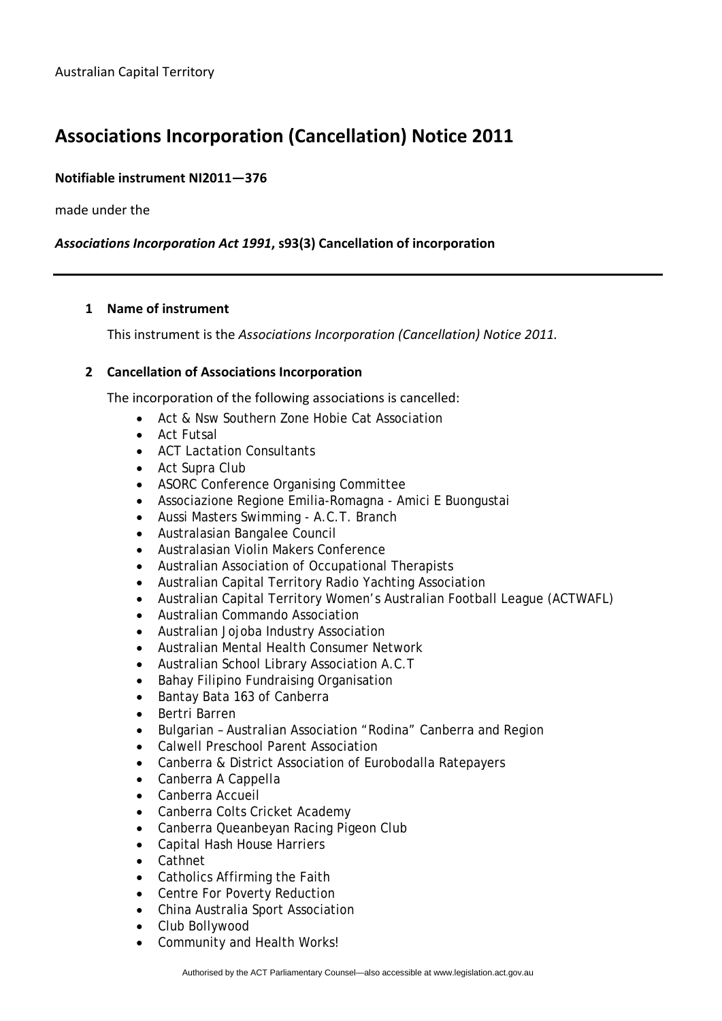# **Associations Incorporation (Cancellation) Notice 2011**

# **Notifiable instrument NI2011—376**

made under the

# *Associations Incorporation Act 1991***, s93(3) Cancellation of incorporation**

### **1 Name of instrument**

This instrument is the *Associations Incorporation (Cancellation) Notice 2011.*

### **2 Cancellation of Associations Incorporation**

The incorporation of the following associations is cancelled:

- Act & Nsw Southern Zone Hobie Cat Association
- Act Futsal
- ACT Lactation Consultants
- Act Supra Club
- ASORC Conference Organising Committee
- Associazione Regione Emilia-Romagna Amici E Buongustai
- Aussi Masters Swimming A.C.T. Branch
- Australasian Bangalee Council
- Australasian Violin Makers Conference
- Australian Association of Occupational Therapists
- Australian Capital Territory Radio Yachting Association
- Australian Capital Territory Women's Australian Football League (ACTWAFL)
- Australian Commando Association
- Australian Jojoba Industry Association
- Australian Mental Health Consumer Network
- Australian School Library Association A.C.T
- Bahay Filipino Fundraising Organisation
- Bantay Bata 163 of Canberra
- Bertri Barren
- Bulgarian Australian Association "Rodina" Canberra and Region
- Calwell Preschool Parent Association
- Canberra & District Association of Eurobodalla Ratepayers
- Canberra A Cappella
- Canberra Accueil
- Canberra Colts Cricket Academy
- Canberra Queanbeyan Racing Pigeon Club
- Capital Hash House Harriers
- Cathnet
- Catholics Affirming the Faith
- Centre For Poverty Reduction
- China Australia Sport Association
- Club Bollywood
- Community and Health Works!